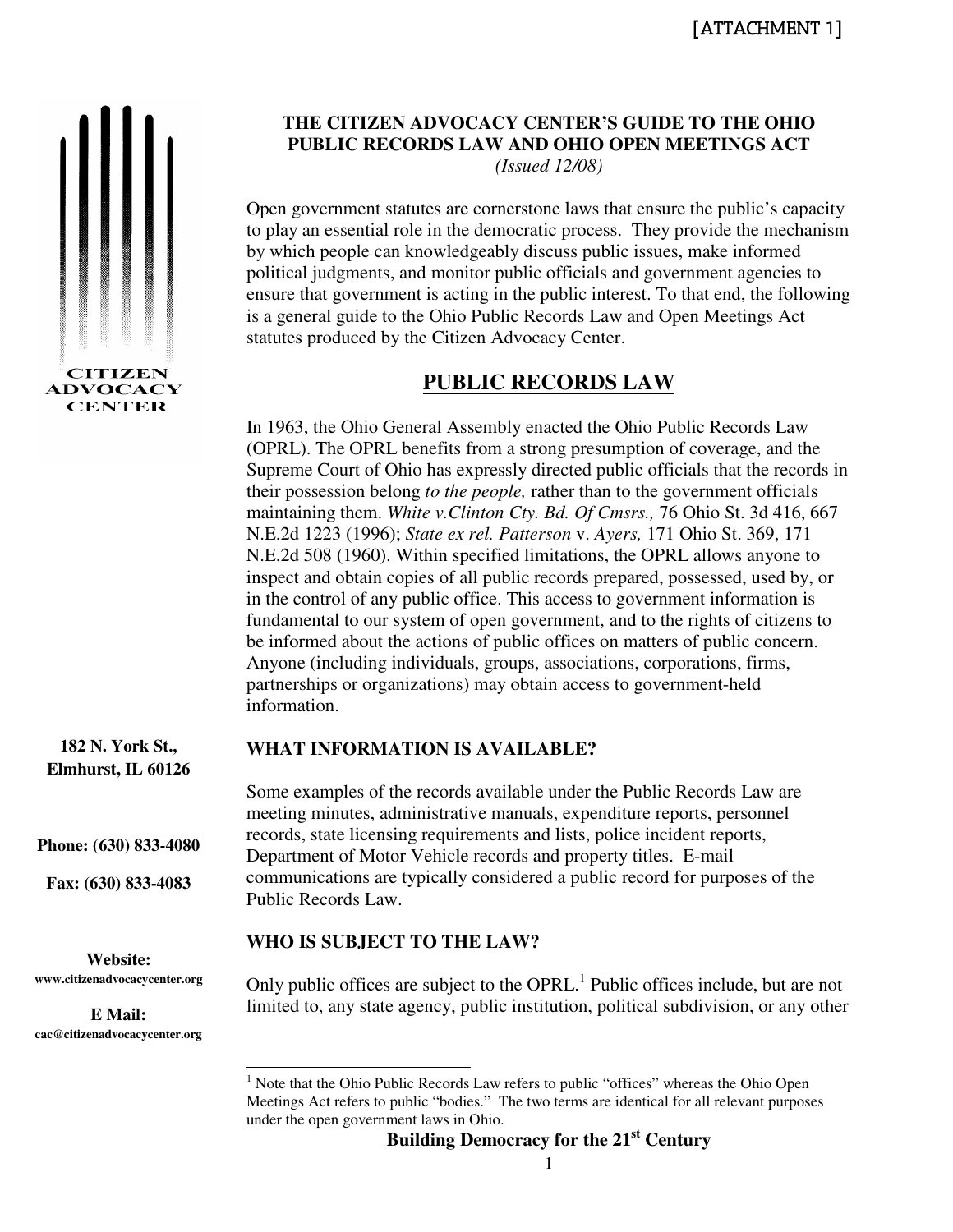

**THE CITIZEN ADVOCACY CENTER'S GUIDE TO THE OHIO PUBLIC RECORDS LAW AND OHIO OPEN MEETINGS ACT** *(Issued 12/08)* 

Open government statutes are cornerstone laws that ensure the public's capacity to play an essential role in the democratic process. They provide the mechanism by which people can knowledgeably discuss public issues, make informed political judgments, and monitor public officials and government agencies to ensure that government is acting in the public interest. To that end, the following is a general guide to the Ohio Public Records Law and Open Meetings Act statutes produced by the Citizen Advocacy Center.

# **PUBLIC RECORDS LAW**

In 1963, the Ohio General Assembly enacted the Ohio Public Records Law (OPRL). The OPRL benefits from a strong presumption of coverage, and the Supreme Court of Ohio has expressly directed public officials that the records in their possession belong *to the people,* rather than to the government officials maintaining them. *White v.Clinton Cty. Bd. Of Cmsrs.,* 76 Ohio St. 3d 416, 667 N.E.2d 1223 (1996); *State ex rel. Patterson* v. *Ayers,* 171 Ohio St. 369, 171 N.E.2d 508 (1960). Within specified limitations, the OPRL allows anyone to inspect and obtain copies of all public records prepared, possessed, used by, or in the control of any public office. This access to government information is fundamental to our system of open government, and to the rights of citizens to be informed about the actions of public offices on matters of public concern. Anyone (including individuals, groups, associations, corporations, firms, partnerships or organizations) may obtain access to government-held information.

# **182 N. York St.,**

**Elmhurst, IL 60126** 

**Phone: (630) 833-4080** 

**Fax: (630) 833-4083** 

**Website: www.citizenadvocacycenter.org** 

**E Mail: cac@citizenadvocacycenter.org** 

# **WHAT INFORMATION IS AVAILABLE?**

Some examples of the records available under the Public Records Law are meeting minutes, administrative manuals, expenditure reports, personnel records, state licensing requirements and lists, police incident reports, Department of Motor Vehicle records and property titles. E-mail communications are typically considered a public record for purposes of the Public Records Law.

# **WHO IS SUBJECT TO THE LAW?**

Only public offices are subject to the OPRL.<sup>1</sup> Public offices include, but are not limited to, any state agency, public institution, political subdivision, or any other

<sup>&</sup>lt;sup>1</sup> Note that the Ohio Public Records Law refers to public "offices" whereas the Ohio Open Meetings Act refers to public "bodies." The two terms are identical for all relevant purposes under the open government laws in Ohio.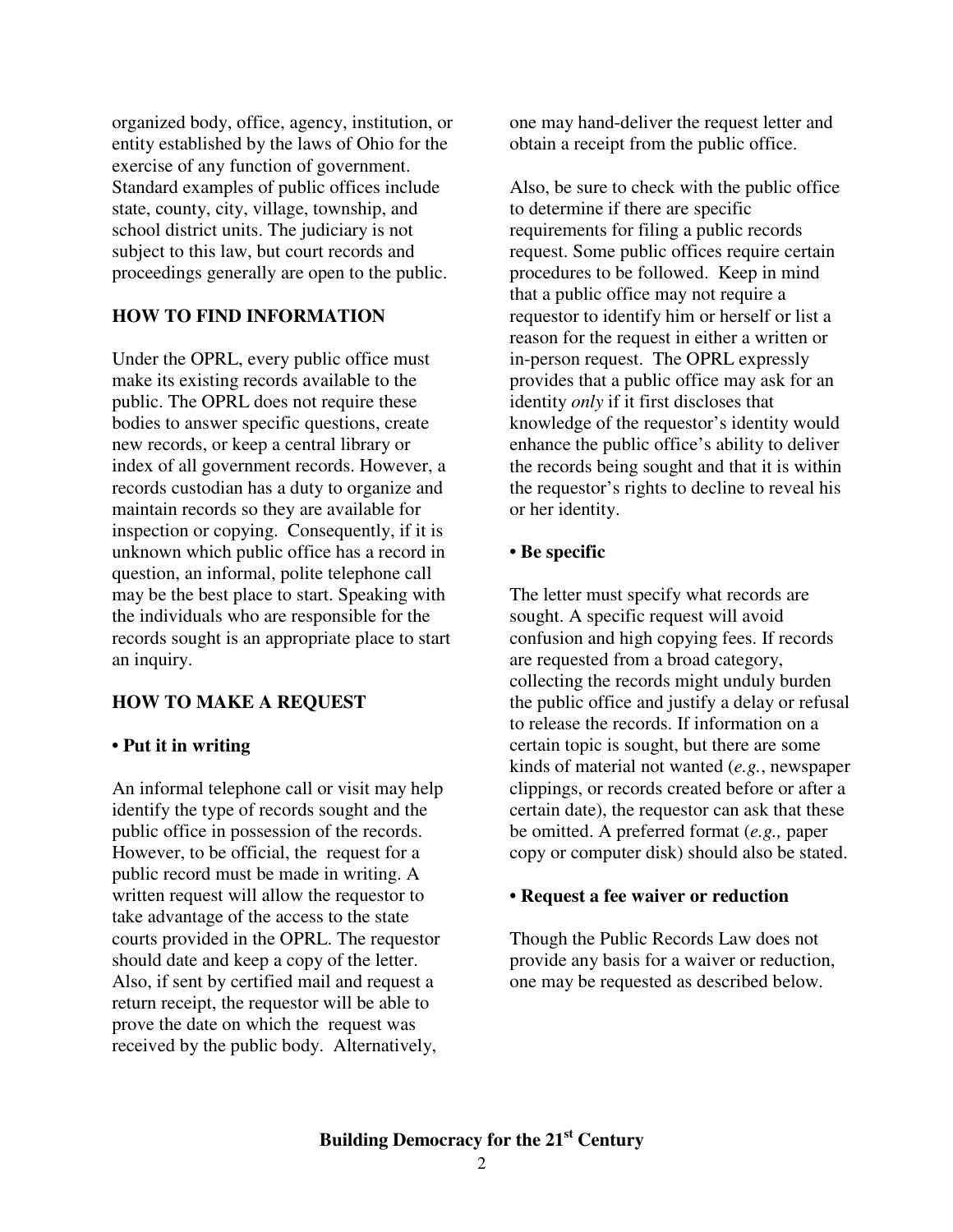organized body, office, agency, institution, or entity established by the laws of Ohio for the exercise of any function of government. Standard examples of public offices include state, county, city, village, township, and school district units. The judiciary is not subject to this law, but court records and proceedings generally are open to the public.

### **HOW TO FIND INFORMATION**

Under the OPRL, every public office must make its existing records available to the public. The OPRL does not require these bodies to answer specific questions, create new records, or keep a central library or index of all government records. However, a records custodian has a duty to organize and maintain records so they are available for inspection or copying. Consequently, if it is unknown which public office has a record in question, an informal, polite telephone call may be the best place to start. Speaking with the individuals who are responsible for the records sought is an appropriate place to start an inquiry.

### **HOW TO MAKE A REQUEST**

### **• Put it in writing**

An informal telephone call or visit may help identify the type of records sought and the public office in possession of the records. However, to be official, the request for a public record must be made in writing. A written request will allow the requestor to take advantage of the access to the state courts provided in the OPRL. The requestor should date and keep a copy of the letter. Also, if sent by certified mail and request a return receipt, the requestor will be able to prove the date on which the request was received by the public body. Alternatively,

one may hand-deliver the request letter and obtain a receipt from the public office.

Also, be sure to check with the public office to determine if there are specific requirements for filing a public records request. Some public offices require certain procedures to be followed. Keep in mind that a public office may not require a requestor to identify him or herself or list a reason for the request in either a written or in-person request. The OPRL expressly provides that a public office may ask for an identity *only* if it first discloses that knowledge of the requestor's identity would enhance the public office's ability to deliver the records being sought and that it is within the requestor's rights to decline to reveal his or her identity.

#### **• Be specific**

The letter must specify what records are sought. A specific request will avoid confusion and high copying fees. If records are requested from a broad category, collecting the records might unduly burden the public office and justify a delay or refusal to release the records. If information on a certain topic is sought, but there are some kinds of material not wanted (*e.g.*, newspaper clippings, or records created before or after a certain date), the requestor can ask that these be omitted. A preferred format (*e.g.,* paper copy or computer disk) should also be stated.

#### **• Request a fee waiver or reduction**

Though the Public Records Law does not provide any basis for a waiver or reduction, one may be requested as described below.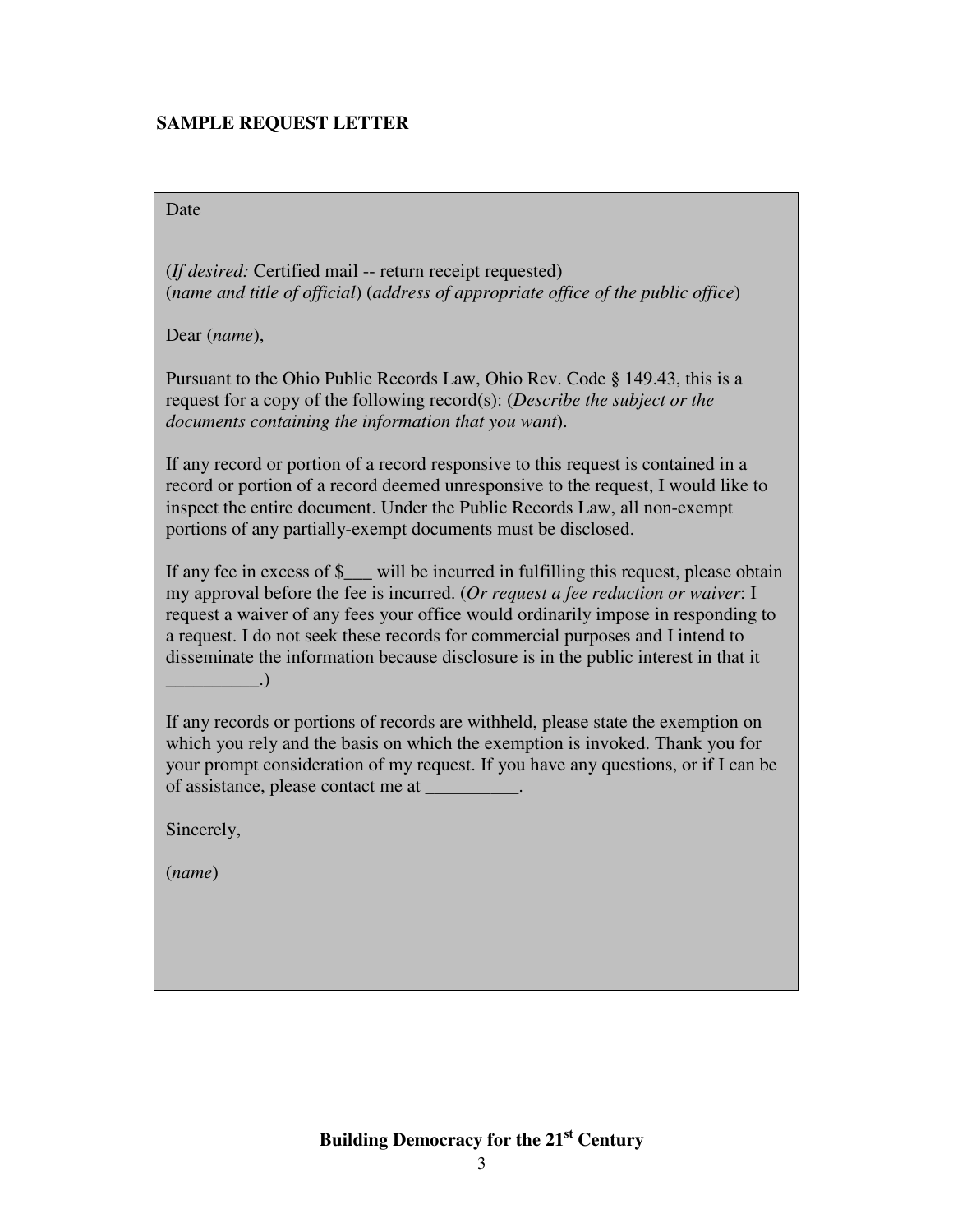# **SAMPLE REQUEST LETTER**

Date

(*If desired:* Certified mail -- return receipt requested) (*name and title of official*) (*address of appropriate office of the public office*)

Dear (*name*),

Pursuant to the Ohio Public Records Law, Ohio Rev. Code § 149.43, this is a request for a copy of the following record(s): (*Describe the subject or the documents containing the information that you want*).

If any record or portion of a record responsive to this request is contained in a record or portion of a record deemed unresponsive to the request, I would like to inspect the entire document. Under the Public Records Law, all non-exempt portions of any partially-exempt documents must be disclosed.

If any fee in excess of \$\_\_\_ will be incurred in fulfilling this request, please obtain my approval before the fee is incurred. (*Or request a fee reduction or waiver*: I request a waiver of any fees your office would ordinarily impose in responding to a request. I do not seek these records for commercial purposes and I intend to disseminate the information because disclosure is in the public interest in that it  $\qquad \qquad .)$ 

If any records or portions of records are withheld, please state the exemption on which you rely and the basis on which the exemption is invoked. Thank you for your prompt consideration of my request. If you have any questions, or if I can be of assistance, please contact me at \_\_\_\_\_\_\_\_\_\_.

Sincerely,

(*name*)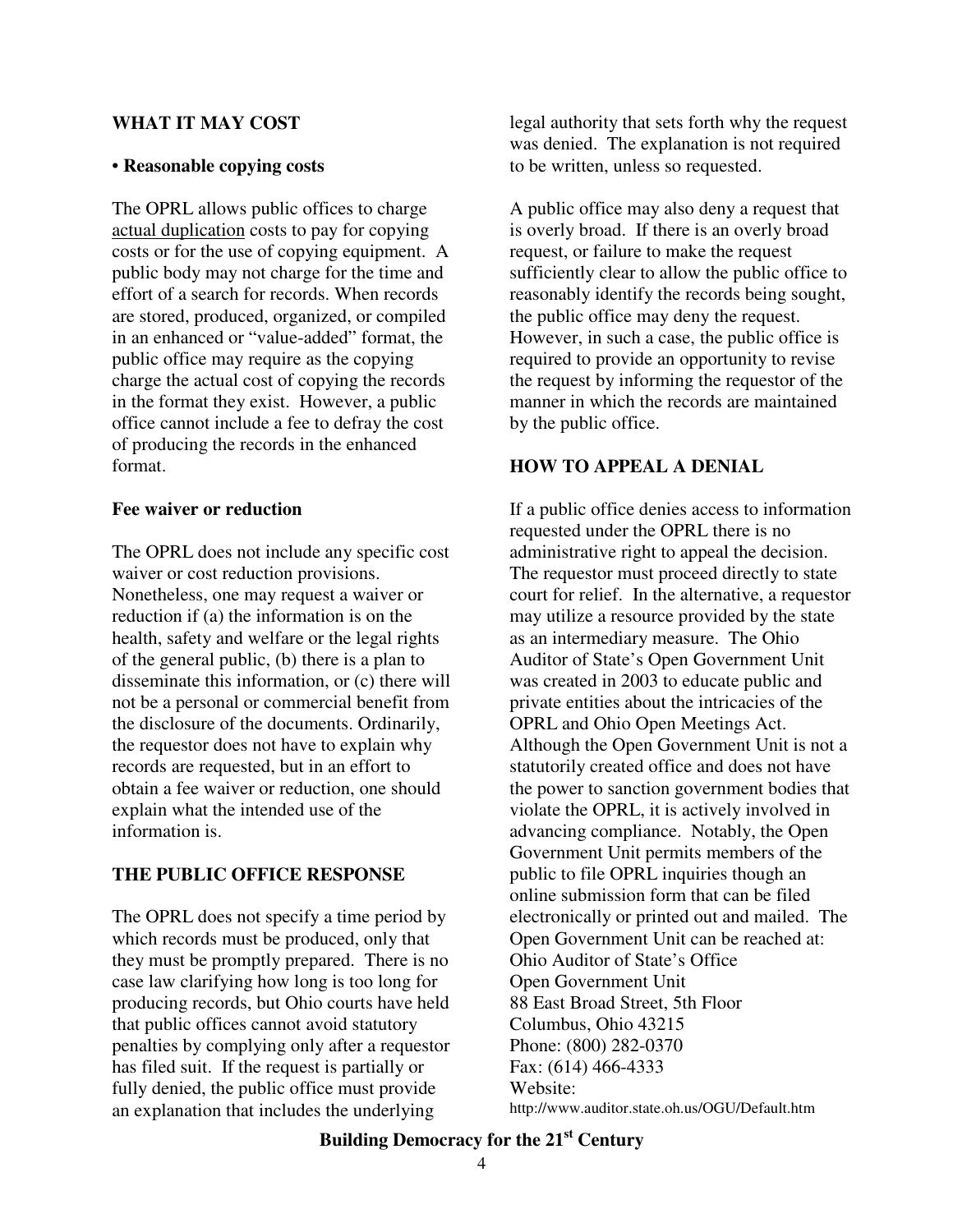#### **WHAT IT MAY COST**

#### • **Reasonable copying costs**

The OPRL allows public offices to charge actual duplication costs to pay for copying costs or for the use of copying equipment. A public body may not charge for the time and effort of a search for records. When records are stored, produced, organized, or compiled in an enhanced or "value-added" format, the public office may require as the copying charge the actual cost of copying the records in the format they exist. However, a public office cannot include a fee to defray the cost of producing the records in the enhanced format.

#### **Fee waiver or reduction**

The OPRL does not include any specific cost waiver or cost reduction provisions. Nonetheless, one may request a waiver or reduction if (a) the information is on the health, safety and welfare or the legal rights of the general public, (b) there is a plan to disseminate this information, or (c) there will not be a personal or commercial benefit from the disclosure of the documents. Ordinarily, the requestor does not have to explain why records are requested, but in an effort to obtain a fee waiver or reduction, one should explain what the intended use of the information is.

### **THE PUBLIC OFFICE RESPONSE**

The OPRL does not specify a time period by which records must be produced, only that they must be promptly prepared. There is no case law clarifying how long is too long for producing records, but Ohio courts have held that public offices cannot avoid statutory penalties by complying only after a requestor has filed suit. If the request is partially or fully denied, the public office must provide an explanation that includes the underlying

legal authority that sets forth why the request was denied. The explanation is not required to be written, unless so requested.

A public office may also deny a request that is overly broad. If there is an overly broad request, or failure to make the request sufficiently clear to allow the public office to reasonably identify the records being sought, the public office may deny the request. However, in such a case, the public office is required to provide an opportunity to revise the request by informing the requestor of the manner in which the records are maintained by the public office.

# **HOW TO APPEAL A DENIAL**

If a public office denies access to information requested under the OPRL there is no administrative right to appeal the decision. The requestor must proceed directly to state court for relief. In the alternative, a requestor may utilize a resource provided by the state as an intermediary measure. The Ohio Auditor of State's Open Government Unit was created in 2003 to educate public and private entities about the intricacies of the OPRL and Ohio Open Meetings Act. Although the Open Government Unit is not a statutorily created office and does not have the power to sanction government bodies that violate the OPRL, it is actively involved in advancing compliance. Notably, the Open Government Unit permits members of the public to file OPRL inquiries though an online submission form that can be filed electronically or printed out and mailed. The Open Government Unit can be reached at: Ohio Auditor of State's Office Open Government Unit 88 East Broad Street, 5th Floor Columbus, Ohio 43215 Phone: (800) 282-0370 Fax: (614) 466-4333 Website: http://www.auditor.state.oh.us/OGU/Default.htm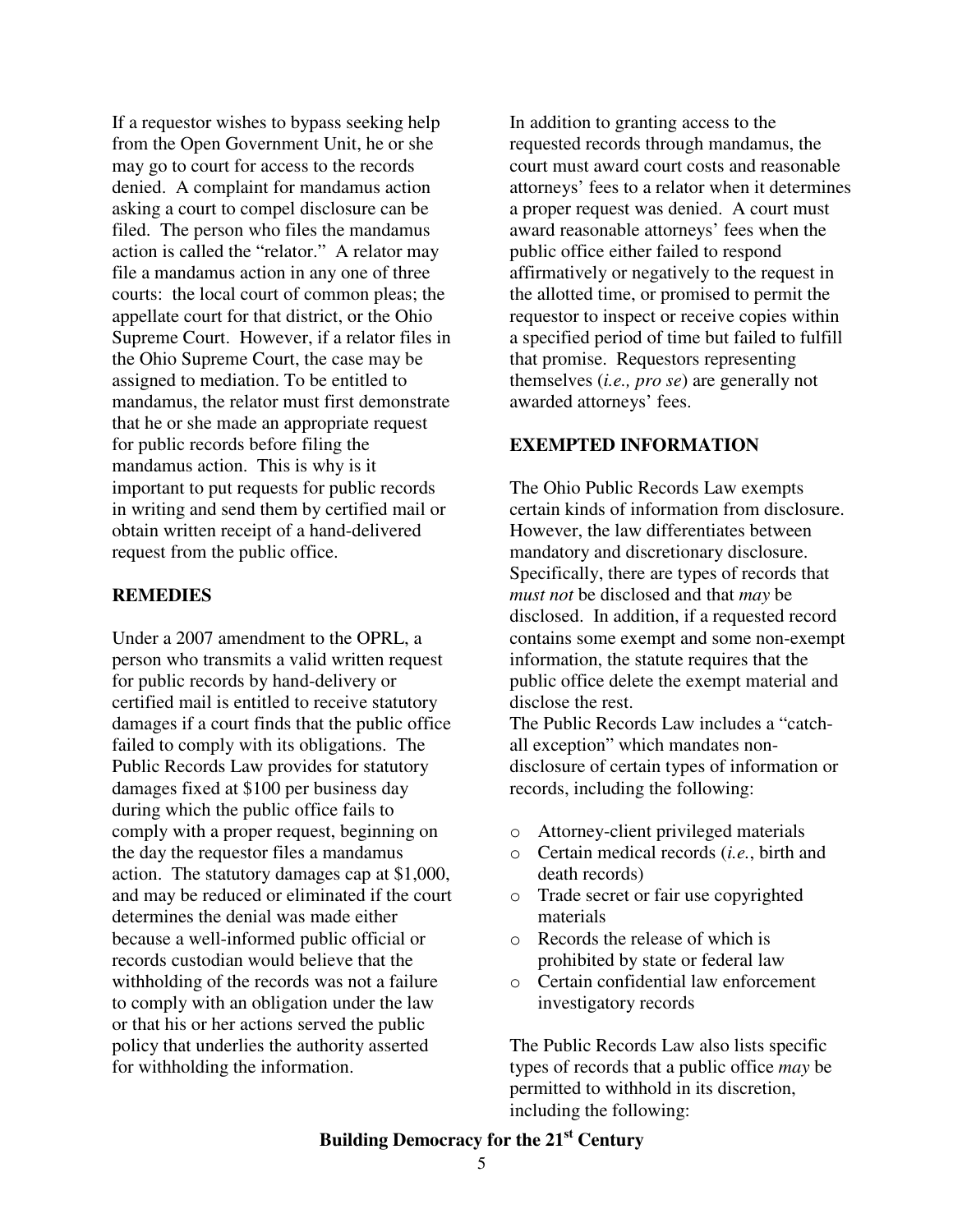If a requestor wishes to bypass seeking help from the Open Government Unit, he or she may go to court for access to the records denied. A complaint for mandamus action asking a court to compel disclosure can be filed. The person who files the mandamus action is called the "relator." A relator may file a mandamus action in any one of three courts: the local court of common pleas; the appellate court for that district, or the Ohio Supreme Court. However, if a relator files in the Ohio Supreme Court, the case may be assigned to mediation. To be entitled to mandamus, the relator must first demonstrate that he or she made an appropriate request for public records before filing the mandamus action. This is why is it important to put requests for public records in writing and send them by certified mail or obtain written receipt of a hand-delivered request from the public office.

#### **REMEDIES**

Under a 2007 amendment to the OPRL, a person who transmits a valid written request for public records by hand-delivery or certified mail is entitled to receive statutory damages if a court finds that the public office failed to comply with its obligations. The Public Records Law provides for statutory damages fixed at \$100 per business day during which the public office fails to comply with a proper request, beginning on the day the requestor files a mandamus action. The statutory damages cap at \$1,000, and may be reduced or eliminated if the court determines the denial was made either because a well-informed public official or records custodian would believe that the withholding of the records was not a failure to comply with an obligation under the law or that his or her actions served the public policy that underlies the authority asserted for withholding the information.

In addition to granting access to the requested records through mandamus, the court must award court costs and reasonable attorneys' fees to a relator when it determines a proper request was denied. A court must award reasonable attorneys' fees when the public office either failed to respond affirmatively or negatively to the request in the allotted time, or promised to permit the requestor to inspect or receive copies within a specified period of time but failed to fulfill that promise. Requestors representing themselves (*i.e., pro se*) are generally not awarded attorneys' fees.

#### **EXEMPTED INFORMATION**

The Ohio Public Records Law exempts certain kinds of information from disclosure. However, the law differentiates between mandatory and discretionary disclosure. Specifically, there are types of records that *must not* be disclosed and that *may* be disclosed. In addition, if a requested record contains some exempt and some non-exempt information, the statute requires that the public office delete the exempt material and disclose the rest.

The Public Records Law includes a "catchall exception" which mandates nondisclosure of certain types of information or records, including the following:

- o Attorney-client privileged materials
- o Certain medical records (*i.e.*, birth and death records)
- o Trade secret or fair use copyrighted materials
- o Records the release of which is prohibited by state or federal law
- o Certain confidential law enforcement investigatory records

The Public Records Law also lists specific types of records that a public office *may* be permitted to withhold in its discretion, including the following: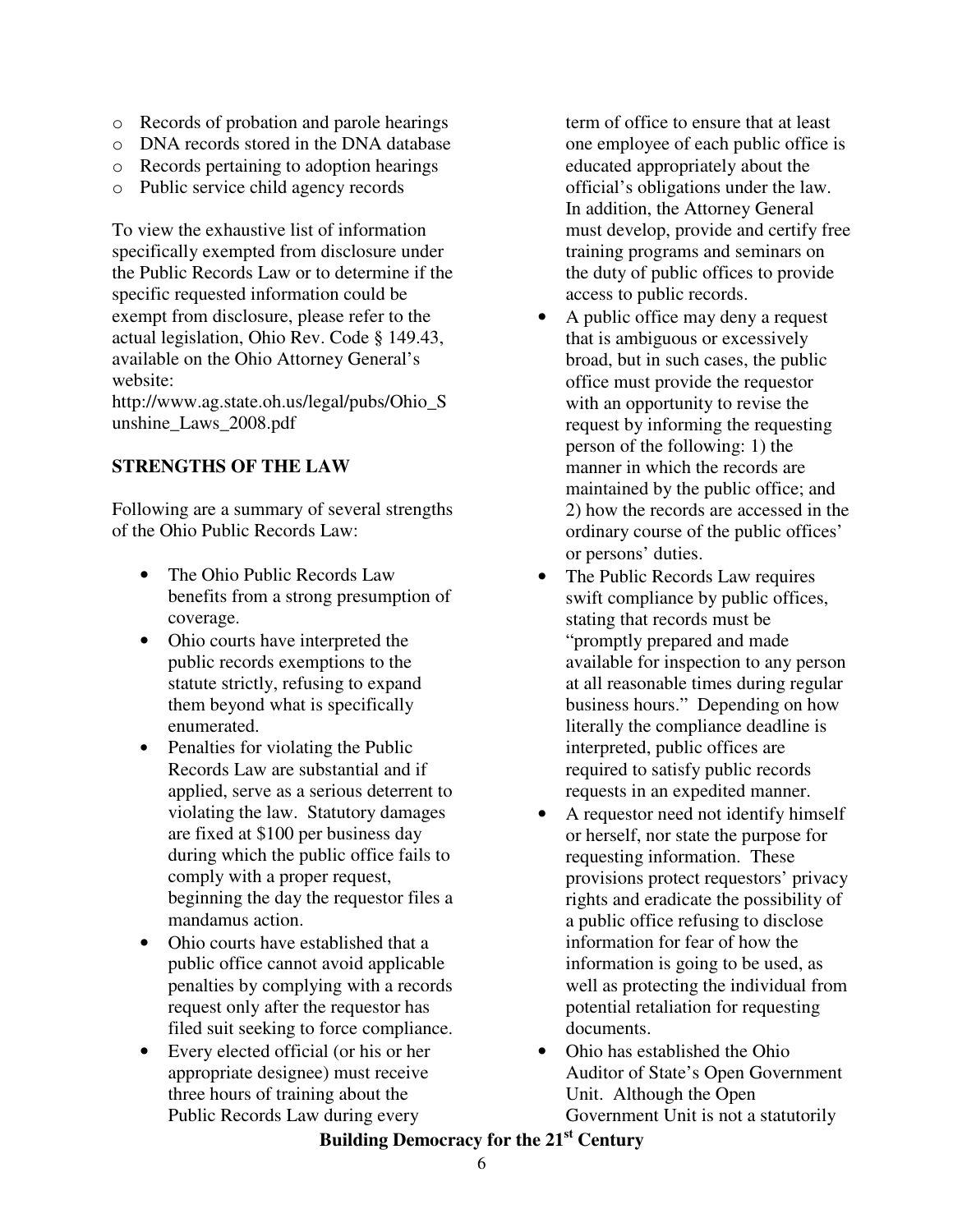- o Records of probation and parole hearings
- o DNA records stored in the DNA database
- o Records pertaining to adoption hearings
- o Public service child agency records

To view the exhaustive list of information specifically exempted from disclosure under the Public Records Law or to determine if the specific requested information could be exempt from disclosure, please refer to the actual legislation, Ohio Rev. Code § 149.43, available on the Ohio Attorney General's website:

http://www.ag.state.oh.us/legal/pubs/Ohio\_S unshine\_Laws\_2008.pdf

# **STRENGTHS OF THE LAW**

Following are a summary of several strengths of the Ohio Public Records Law:

- The Ohio Public Records Law benefits from a strong presumption of coverage.
- Ohio courts have interpreted the public records exemptions to the statute strictly, refusing to expand them beyond what is specifically enumerated.
- Penalties for violating the Public Records Law are substantial and if applied, serve as a serious deterrent to violating the law. Statutory damages are fixed at \$100 per business day during which the public office fails to comply with a proper request, beginning the day the requestor files a mandamus action.
- Ohio courts have established that a public office cannot avoid applicable penalties by complying with a records request only after the requestor has filed suit seeking to force compliance.
- Every elected official (or his or her appropriate designee) must receive three hours of training about the Public Records Law during every

term of office to ensure that at least one employee of each public office is educated appropriately about the official's obligations under the law. In addition, the Attorney General must develop, provide and certify free training programs and seminars on the duty of public offices to provide access to public records.

- A public office may deny a request that is ambiguous or excessively broad, but in such cases, the public office must provide the requestor with an opportunity to revise the request by informing the requesting person of the following: 1) the manner in which the records are maintained by the public office; and 2) how the records are accessed in the ordinary course of the public offices' or persons' duties.
- The Public Records Law requires swift compliance by public offices, stating that records must be "promptly prepared and made available for inspection to any person at all reasonable times during regular business hours." Depending on how literally the compliance deadline is interpreted, public offices are required to satisfy public records requests in an expedited manner.
- A requestor need not identify himself or herself, nor state the purpose for requesting information. These provisions protect requestors' privacy rights and eradicate the possibility of a public office refusing to disclose information for fear of how the information is going to be used, as well as protecting the individual from potential retaliation for requesting documents.
- Ohio has established the Ohio Auditor of State's Open Government Unit. Although the Open Government Unit is not a statutorily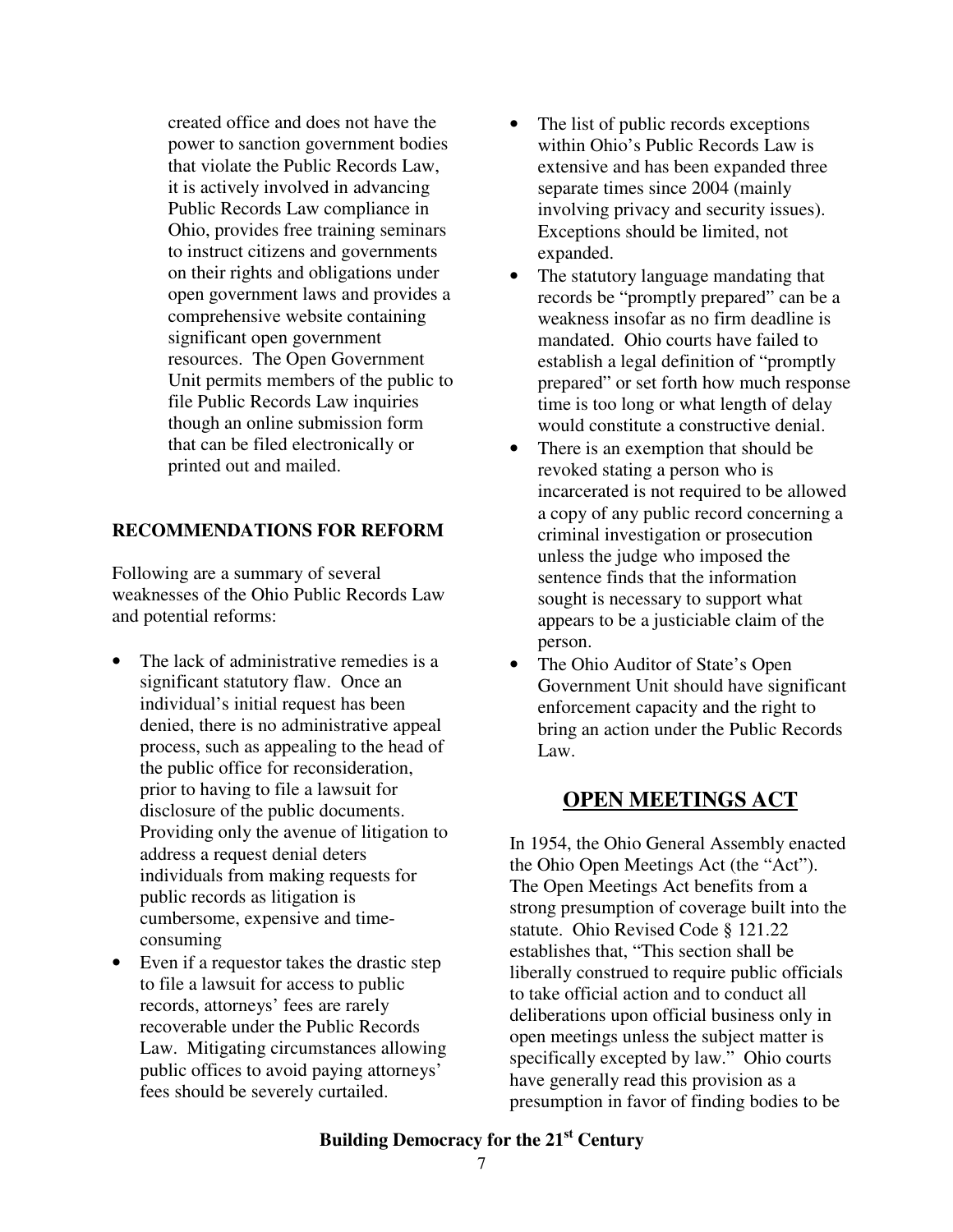created office and does not have the power to sanction government bodies that violate the Public Records Law, it is actively involved in advancing Public Records Law compliance in Ohio, provides free training seminars to instruct citizens and governments on their rights and obligations under open government laws and provides a comprehensive website containing significant open government resources. The Open Government Unit permits members of the public to file Public Records Law inquiries though an online submission form that can be filed electronically or printed out and mailed.

# **RECOMMENDATIONS FOR REFORM**

Following are a summary of several weaknesses of the Ohio Public Records Law and potential reforms:

- The lack of administrative remedies is a significant statutory flaw. Once an individual's initial request has been denied, there is no administrative appeal process, such as appealing to the head of the public office for reconsideration, prior to having to file a lawsuit for disclosure of the public documents. Providing only the avenue of litigation to address a request denial deters individuals from making requests for public records as litigation is cumbersome, expensive and timeconsuming
- Even if a requestor takes the drastic step to file a lawsuit for access to public records, attorneys' fees are rarely recoverable under the Public Records Law. Mitigating circumstances allowing public offices to avoid paying attorneys' fees should be severely curtailed.
- The list of public records exceptions within Ohio's Public Records Law is extensive and has been expanded three separate times since 2004 (mainly involving privacy and security issues). Exceptions should be limited, not expanded.
- The statutory language mandating that records be "promptly prepared" can be a weakness insofar as no firm deadline is mandated. Ohio courts have failed to establish a legal definition of "promptly prepared" or set forth how much response time is too long or what length of delay would constitute a constructive denial.
- There is an exemption that should be revoked stating a person who is incarcerated is not required to be allowed a copy of any public record concerning a criminal investigation or prosecution unless the judge who imposed the sentence finds that the information sought is necessary to support what appears to be a justiciable claim of the person.
- The Ohio Auditor of State's Open Government Unit should have significant enforcement capacity and the right to bring an action under the Public Records Law.

# **OPEN MEETINGS ACT**

In 1954, the Ohio General Assembly enacted the Ohio Open Meetings Act (the "Act"). The Open Meetings Act benefits from a strong presumption of coverage built into the statute. Ohio Revised Code § 121.22 establishes that, "This section shall be liberally construed to require public officials to take official action and to conduct all deliberations upon official business only in open meetings unless the subject matter is specifically excepted by law." Ohio courts have generally read this provision as a presumption in favor of finding bodies to be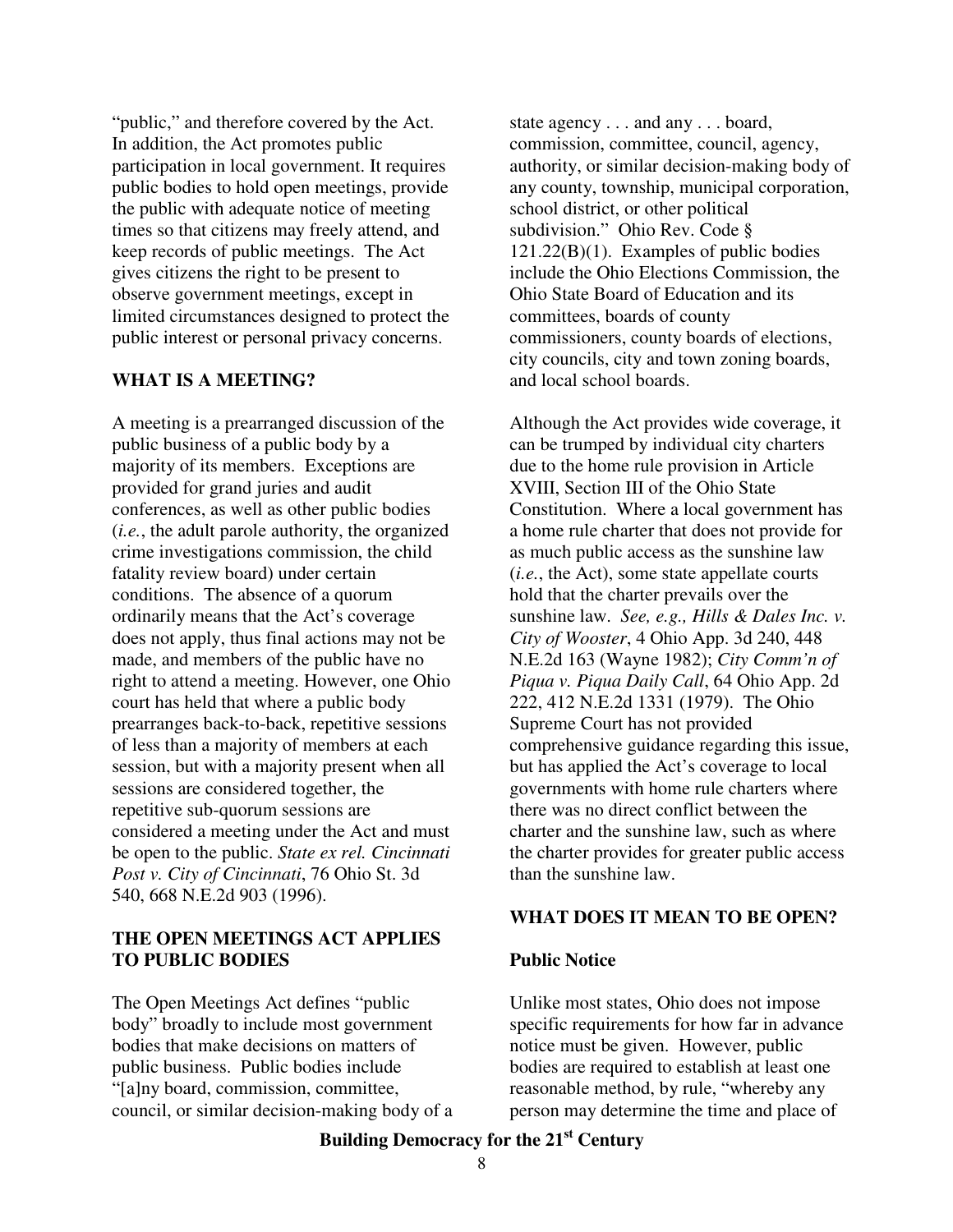"public," and therefore covered by the Act. In addition, the Act promotes public participation in local government. It requires public bodies to hold open meetings, provide the public with adequate notice of meeting times so that citizens may freely attend, and keep records of public meetings. The Act gives citizens the right to be present to observe government meetings, except in limited circumstances designed to protect the public interest or personal privacy concerns.

#### **WHAT IS A MEETING?**

A meeting is a prearranged discussion of the public business of a public body by a majority of its members. Exceptions are provided for grand juries and audit conferences, as well as other public bodies (*i.e.*, the adult parole authority, the organized crime investigations commission, the child fatality review board) under certain conditions. The absence of a quorum ordinarily means that the Act's coverage does not apply, thus final actions may not be made, and members of the public have no right to attend a meeting. However, one Ohio court has held that where a public body prearranges back-to-back, repetitive sessions of less than a majority of members at each session, but with a majority present when all sessions are considered together, the repetitive sub-quorum sessions are considered a meeting under the Act and must be open to the public. *State ex rel. Cincinnati Post v. City of Cincinnati*, 76 Ohio St. 3d 540, 668 N.E.2d 903 (1996).

### **THE OPEN MEETINGS ACT APPLIES TO PUBLIC BODIES**

The Open Meetings Act defines "public body" broadly to include most government bodies that make decisions on matters of public business. Public bodies include "[a]ny board, commission, committee, council, or similar decision-making body of a

state agency . . . and any . . . board, commission, committee, council, agency, authority, or similar decision-making body of any county, township, municipal corporation, school district, or other political subdivision." Ohio Rev. Code § 121.22(B)(1). Examples of public bodies include the Ohio Elections Commission, the Ohio State Board of Education and its committees, boards of county commissioners, county boards of elections, city councils, city and town zoning boards, and local school boards.

Although the Act provides wide coverage, it can be trumped by individual city charters due to the home rule provision in Article XVIII, Section III of the Ohio State Constitution. Where a local government has a home rule charter that does not provide for as much public access as the sunshine law (*i.e.*, the Act), some state appellate courts hold that the charter prevails over the sunshine law. *See, e.g., Hills & Dales Inc. v. City of Wooster*, 4 Ohio App. 3d 240, 448 N.E.2d 163 (Wayne 1982); *City Comm'n of Piqua v. Piqua Daily Call*, 64 Ohio App. 2d 222, 412 N.E.2d 1331 (1979). The Ohio Supreme Court has not provided comprehensive guidance regarding this issue, but has applied the Act's coverage to local governments with home rule charters where there was no direct conflict between the charter and the sunshine law, such as where the charter provides for greater public access than the sunshine law.

### **WHAT DOES IT MEAN TO BE OPEN?**

#### **Public Notice**

Unlike most states, Ohio does not impose specific requirements for how far in advance notice must be given. However, public bodies are required to establish at least one reasonable method, by rule, "whereby any person may determine the time and place of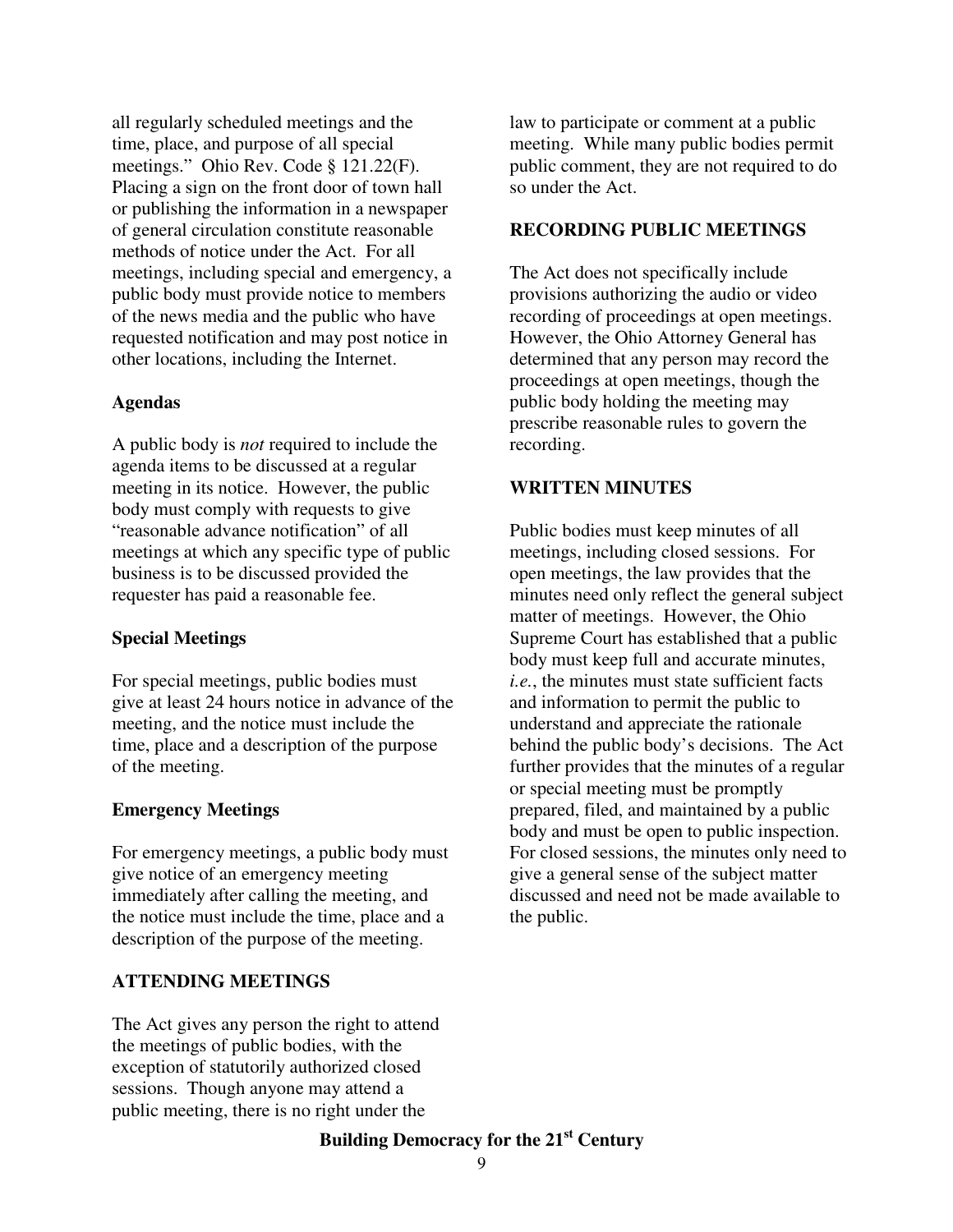all regularly scheduled meetings and the time, place, and purpose of all special meetings." Ohio Rev. Code § 121.22(F). Placing a sign on the front door of town hall or publishing the information in a newspaper of general circulation constitute reasonable methods of notice under the Act. For all meetings, including special and emergency, a public body must provide notice to members of the news media and the public who have requested notification and may post notice in other locations, including the Internet.

#### **Agendas**

A public body is *not* required to include the agenda items to be discussed at a regular meeting in its notice. However, the public body must comply with requests to give "reasonable advance notification" of all meetings at which any specific type of public business is to be discussed provided the requester has paid a reasonable fee.

### **Special Meetings**

For special meetings, public bodies must give at least 24 hours notice in advance of the meeting, and the notice must include the time, place and a description of the purpose of the meeting.

#### **Emergency Meetings**

For emergency meetings, a public body must give notice of an emergency meeting immediately after calling the meeting, and the notice must include the time, place and a description of the purpose of the meeting.

### **ATTENDING MEETINGS**

The Act gives any person the right to attend the meetings of public bodies, with the exception of statutorily authorized closed sessions. Though anyone may attend a public meeting, there is no right under the

law to participate or comment at a public meeting. While many public bodies permit public comment, they are not required to do so under the Act.

#### **RECORDING PUBLIC MEETINGS**

The Act does not specifically include provisions authorizing the audio or video recording of proceedings at open meetings. However, the Ohio Attorney General has determined that any person may record the proceedings at open meetings, though the public body holding the meeting may prescribe reasonable rules to govern the recording.

#### **WRITTEN MINUTES**

Public bodies must keep minutes of all meetings, including closed sessions. For open meetings, the law provides that the minutes need only reflect the general subject matter of meetings. However, the Ohio Supreme Court has established that a public body must keep full and accurate minutes, *i.e.*, the minutes must state sufficient facts and information to permit the public to understand and appreciate the rationale behind the public body's decisions. The Act further provides that the minutes of a regular or special meeting must be promptly prepared, filed, and maintained by a public body and must be open to public inspection. For closed sessions, the minutes only need to give a general sense of the subject matter discussed and need not be made available to the public.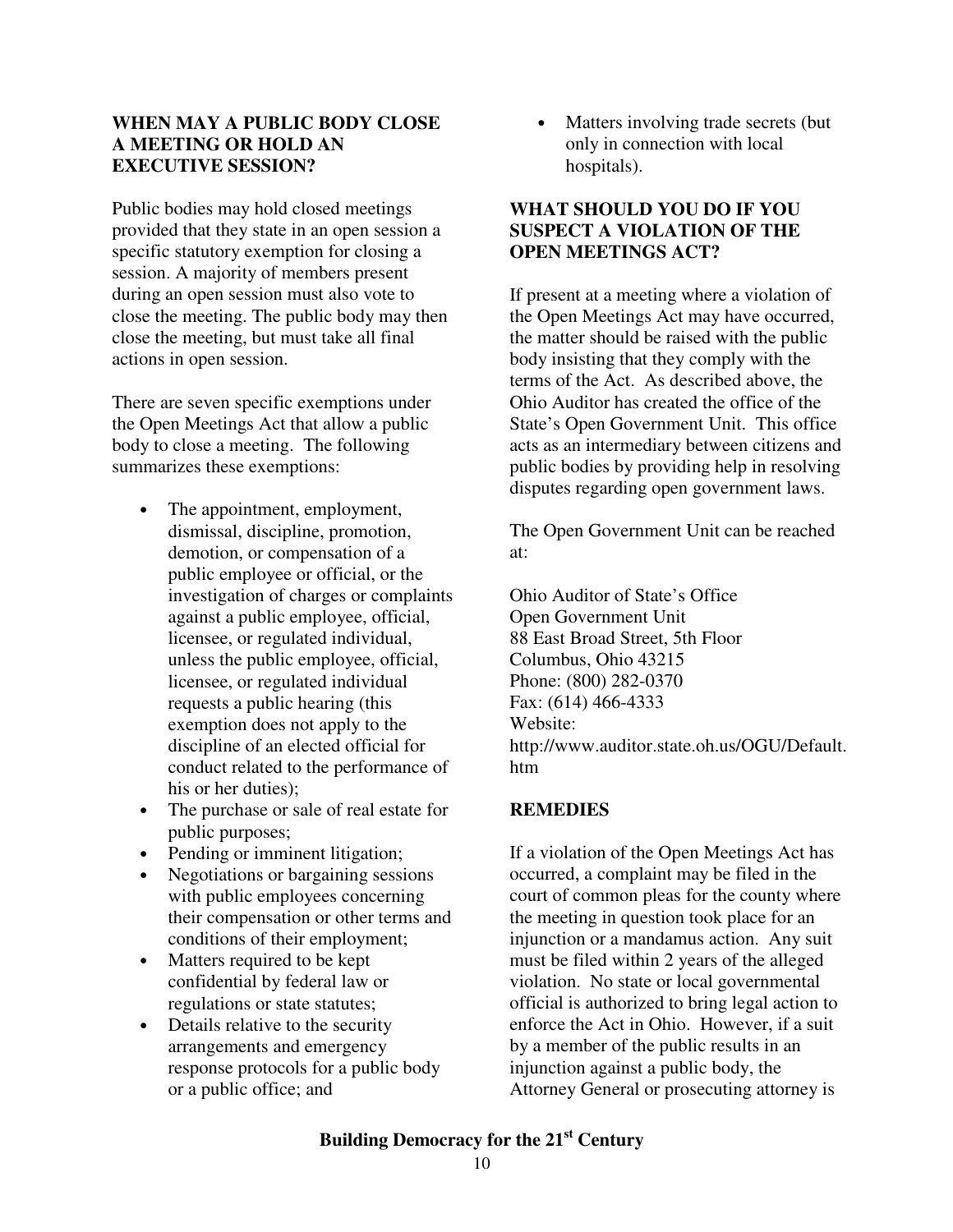### **WHEN MAY A PUBLIC BODY CLOSE A MEETING OR HOLD AN EXECUTIVE SESSION?**

Public bodies may hold closed meetings provided that they state in an open session a specific statutory exemption for closing a session. A majority of members present during an open session must also vote to close the meeting. The public body may then close the meeting, but must take all final actions in open session.

There are seven specific exemptions under the Open Meetings Act that allow a public body to close a meeting. The following summarizes these exemptions:

- The appointment, employment, dismissal, discipline, promotion, demotion, or compensation of a public employee or official, or the investigation of charges or complaints against a public employee, official, licensee, or regulated individual, unless the public employee, official, licensee, or regulated individual requests a public hearing (this exemption does not apply to the discipline of an elected official for conduct related to the performance of his or her duties):
- The purchase or sale of real estate for public purposes;
- Pending or imminent litigation;
- Negotiations or bargaining sessions with public employees concerning their compensation or other terms and conditions of their employment;
- Matters required to be kept confidential by federal law or regulations or state statutes;
- Details relative to the security arrangements and emergency response protocols for a public body or a public office; and

• Matters involving trade secrets (but only in connection with local hospitals).

# **WHAT SHOULD YOU DO IF YOU SUSPECT A VIOLATION OF THE OPEN MEETINGS ACT?**

If present at a meeting where a violation of the Open Meetings Act may have occurred, the matter should be raised with the public body insisting that they comply with the terms of the Act. As described above, the Ohio Auditor has created the office of the State's Open Government Unit. This office acts as an intermediary between citizens and public bodies by providing help in resolving disputes regarding open government laws.

The Open Government Unit can be reached at:

Ohio Auditor of State's Office Open Government Unit 88 East Broad Street, 5th Floor Columbus, Ohio 43215 Phone: (800) 282-0370 Fax: (614) 466-4333 Website: http://www.auditor.state.oh.us/OGU/Default. htm

# **REMEDIES**

If a violation of the Open Meetings Act has occurred, a complaint may be filed in the court of common pleas for the county where the meeting in question took place for an injunction or a mandamus action. Any suit must be filed within 2 years of the alleged violation. No state or local governmental official is authorized to bring legal action to enforce the Act in Ohio. However, if a suit by a member of the public results in an injunction against a public body, the Attorney General or prosecuting attorney is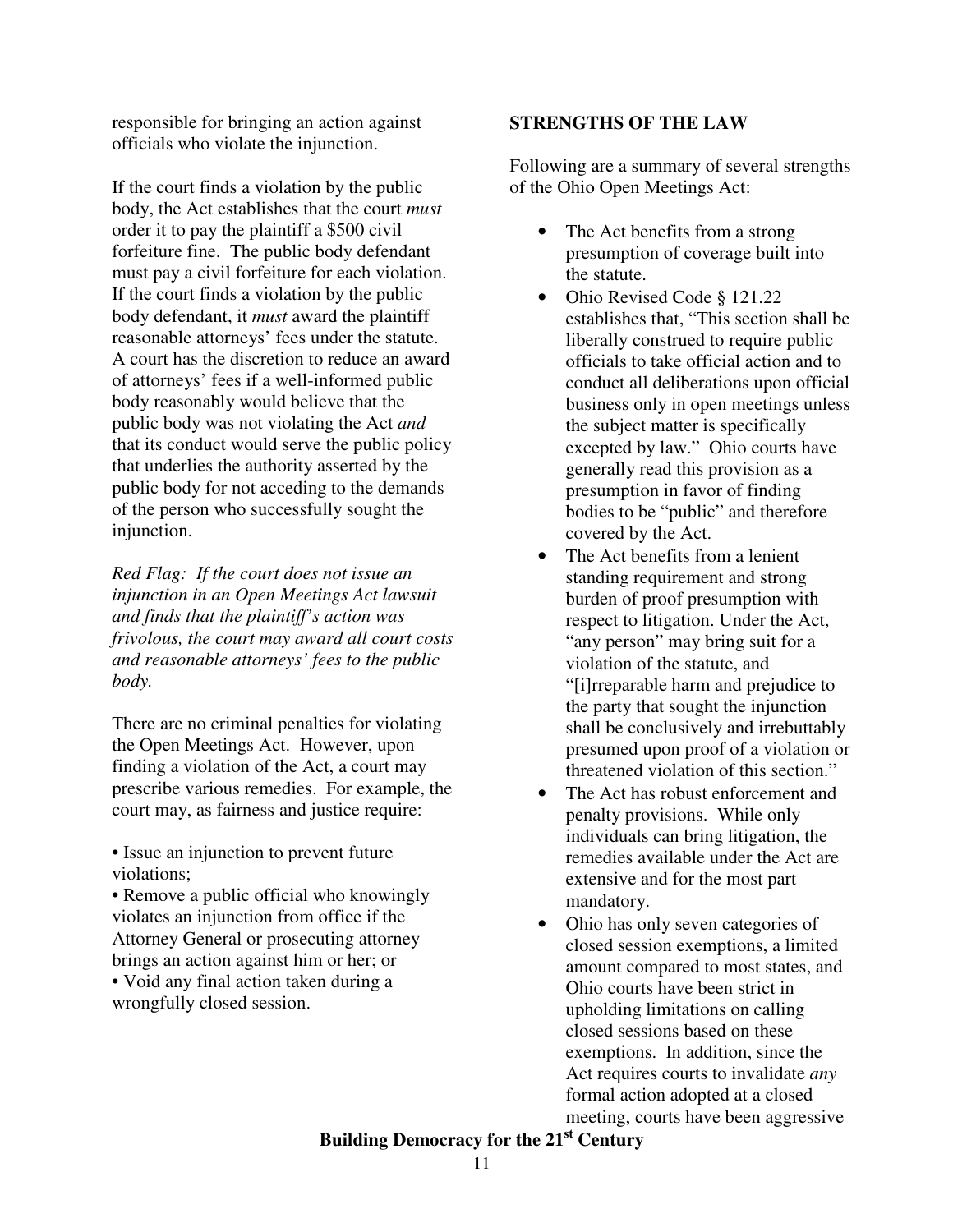responsible for bringing an action against officials who violate the injunction.

If the court finds a violation by the public body, the Act establishes that the court *must* order it to pay the plaintiff a \$500 civil forfeiture fine. The public body defendant must pay a civil forfeiture for each violation. If the court finds a violation by the public body defendant, it *must* award the plaintiff reasonable attorneys' fees under the statute. A court has the discretion to reduce an award of attorneys' fees if a well-informed public body reasonably would believe that the public body was not violating the Act *and* that its conduct would serve the public policy that underlies the authority asserted by the public body for not acceding to the demands of the person who successfully sought the injunction.

*Red Flag: If the court does not issue an injunction in an Open Meetings Act lawsuit and finds that the plaintiff's action was frivolous, the court may award all court costs and reasonable attorneys' fees to the public body.* 

There are no criminal penalties for violating the Open Meetings Act. However, upon finding a violation of the Act, a court may prescribe various remedies. For example, the court may, as fairness and justice require:

• Issue an injunction to prevent future violations;

• Remove a public official who knowingly violates an injunction from office if the Attorney General or prosecuting attorney brings an action against him or her; or • Void any final action taken during a wrongfully closed session.

# **STRENGTHS OF THE LAW**

Following are a summary of several strengths of the Ohio Open Meetings Act:

- The Act benefits from a strong presumption of coverage built into the statute.
- Ohio Revised Code § 121.22 establishes that, "This section shall be liberally construed to require public officials to take official action and to conduct all deliberations upon official business only in open meetings unless the subject matter is specifically excepted by law." Ohio courts have generally read this provision as a presumption in favor of finding bodies to be "public" and therefore covered by the Act.
- The Act benefits from a lenient standing requirement and strong burden of proof presumption with respect to litigation. Under the Act, "any person" may bring suit for a violation of the statute, and "[i]rreparable harm and prejudice to the party that sought the injunction shall be conclusively and irrebuttably presumed upon proof of a violation or threatened violation of this section."
- The Act has robust enforcement and penalty provisions. While only individuals can bring litigation, the remedies available under the Act are extensive and for the most part mandatory.
- Ohio has only seven categories of closed session exemptions, a limited amount compared to most states, and Ohio courts have been strict in upholding limitations on calling closed sessions based on these exemptions. In addition, since the Act requires courts to invalidate *any* formal action adopted at a closed meeting, courts have been aggressive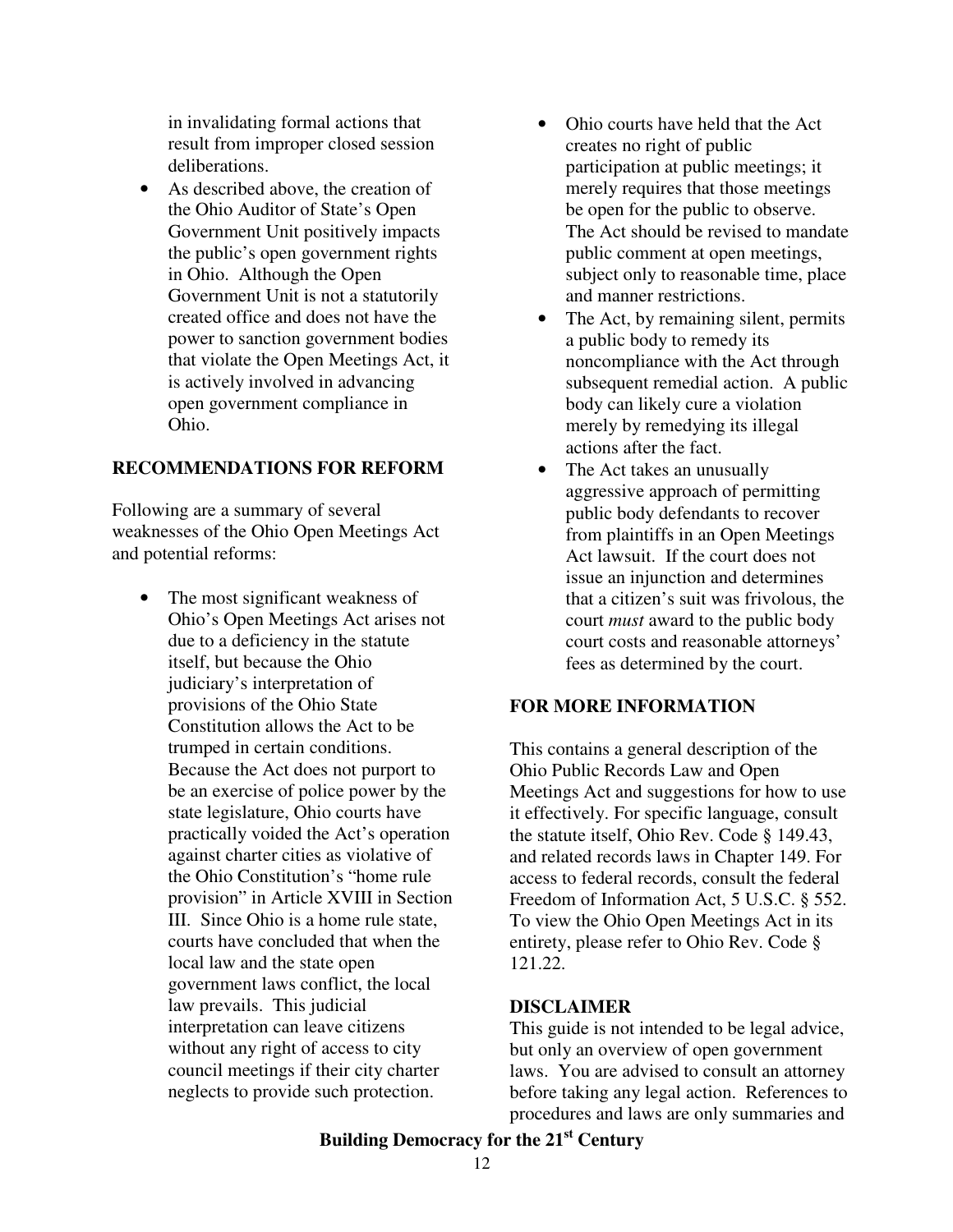in invalidating formal actions that result from improper closed session deliberations.

• As described above, the creation of the Ohio Auditor of State's Open Government Unit positively impacts the public's open government rights in Ohio. Although the Open Government Unit is not a statutorily created office and does not have the power to sanction government bodies that violate the Open Meetings Act, it is actively involved in advancing open government compliance in Ohio.

### **RECOMMENDATIONS FOR REFORM**

Following are a summary of several weaknesses of the Ohio Open Meetings Act and potential reforms:

> The most significant weakness of Ohio's Open Meetings Act arises not due to a deficiency in the statute itself, but because the Ohio judiciary's interpretation of provisions of the Ohio State Constitution allows the Act to be trumped in certain conditions. Because the Act does not purport to be an exercise of police power by the state legislature, Ohio courts have practically voided the Act's operation against charter cities as violative of the Ohio Constitution's "home rule provision" in Article XVIII in Section III. Since Ohio is a home rule state, courts have concluded that when the local law and the state open government laws conflict, the local law prevails. This judicial interpretation can leave citizens without any right of access to city council meetings if their city charter neglects to provide such protection.

- Ohio courts have held that the Act creates no right of public participation at public meetings; it merely requires that those meetings be open for the public to observe. The Act should be revised to mandate public comment at open meetings, subject only to reasonable time, place and manner restrictions.
- The Act, by remaining silent, permits a public body to remedy its noncompliance with the Act through subsequent remedial action. A public body can likely cure a violation merely by remedying its illegal actions after the fact.
- The Act takes an unusually aggressive approach of permitting public body defendants to recover from plaintiffs in an Open Meetings Act lawsuit. If the court does not issue an injunction and determines that a citizen's suit was frivolous, the court *must* award to the public body court costs and reasonable attorneys' fees as determined by the court.

### **FOR MORE INFORMATION**

This contains a general description of the Ohio Public Records Law and Open Meetings Act and suggestions for how to use it effectively. For specific language, consult the statute itself, Ohio Rev. Code § 149.43, and related records laws in Chapter 149. For access to federal records, consult the federal Freedom of Information Act, 5 U.S.C. § 552. To view the Ohio Open Meetings Act in its entirety, please refer to Ohio Rev. Code § 121.22.

#### **DISCLAIMER**

This guide is not intended to be legal advice, but only an overview of open government laws. You are advised to consult an attorney before taking any legal action. References to procedures and laws are only summaries and